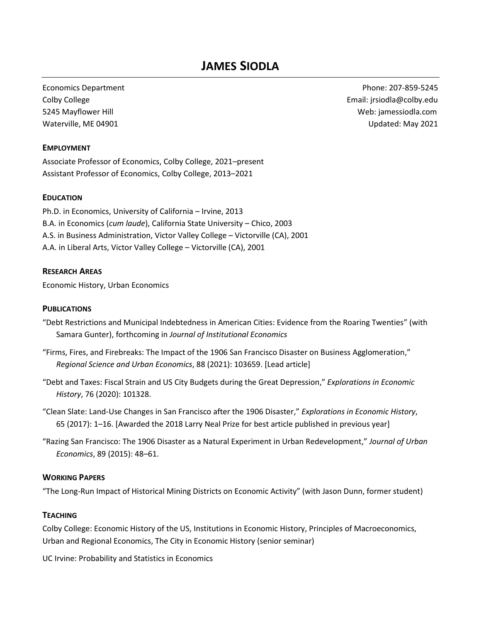# **JAMES SIODLA**

Economics Department Phone: 207-859-5245 Colby College **Email:** jrsiodla@colby.edu 5245 Mayflower Hill Web: jamessiodla.com Waterville, ME 04901 Updated: May 2021

## **EMPLOYMENT**

Associate Professor of Economics, Colby College, 2021–present Assistant Professor of Economics, Colby College, 2013–2021

#### **EDUCATION**

Ph.D. in Economics, University of California – Irvine, 2013 B.A. in Economics (*cum laude*), California State University – Chico, 2003 A.S. in Business Administration, Victor Valley College – Victorville (CA), 2001 A.A. in Liberal Arts, Victor Valley College – Victorville (CA), 2001

#### **RESEARCH AREAS**

Economic History, Urban Economics

#### **PUBLICATIONS**

- "Debt Restrictions and Municipal Indebtedness in American Cities: Evidence from the Roaring Twenties" (with Samara Gunter), forthcoming in *Journal of Institutional Economics*
- "Firms, Fires, and Firebreaks: The Impact of the 1906 San Francisco Disaster on Business Agglomeration," *Regional Science and Urban Economics*, 88 (2021): 103659. [Lead article]
- "Debt and Taxes: Fiscal Strain and US City Budgets during the Great Depression," *Explorations in Economic History*, 76 (2020): 101328.
- "Clean Slate: Land-Use Changes in San Francisco after the 1906 Disaster," *Explorations in Economic History*, 65 (2017): 1–16. [Awarded the 2018 Larry Neal Prize for best article published in previous year]
- "Razing San Francisco: The 1906 Disaster as a Natural Experiment in Urban Redevelopment," *Journal of Urban Economics*, 89 (2015): 48–61.

#### **WORKING PAPERS**

"The Long-Run Impact of Historical Mining Districts on Economic Activity" (with Jason Dunn, former student)

#### **TEACHING**

Colby College: Economic History of the US, Institutions in Economic History, Principles of Macroeconomics, Urban and Regional Economics, The City in Economic History (senior seminar)

UC Irvine: Probability and Statistics in Economics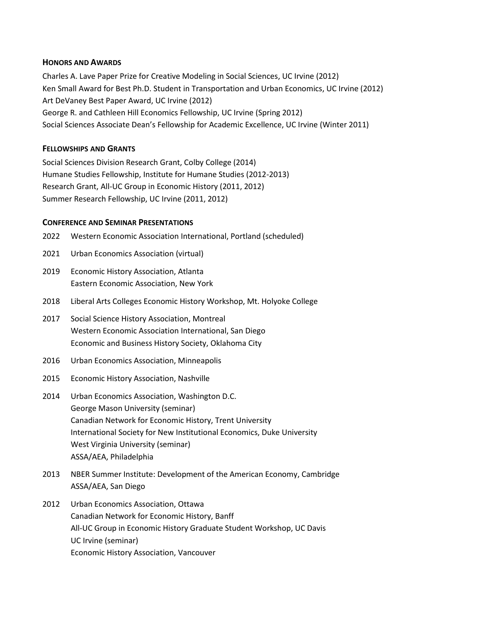## **HONORS AND AWARDS**

Charles A. Lave Paper Prize for Creative Modeling in Social Sciences, UC Irvine (2012) Ken Small Award for Best Ph.D. Student in Transportation and Urban Economics, UC Irvine (2012) Art DeVaney Best Paper Award, UC Irvine (2012) George R. and Cathleen Hill Economics Fellowship, UC Irvine (Spring 2012) Social Sciences Associate Dean's Fellowship for Academic Excellence, UC Irvine (Winter 2011)

## **FELLOWSHIPS AND GRANTS**

Social Sciences Division Research Grant, Colby College (2014) Humane Studies Fellowship, Institute for Humane Studies (2012-2013) Research Grant, All-UC Group in Economic History (2011, 2012) Summer Research Fellowship, UC Irvine (2011, 2012)

#### **CONFERENCE AND SEMINAR PRESENTATIONS**

- 2022 Western Economic Association International, Portland (scheduled)
- 2021 Urban Economics Association (virtual)
- 2019 Economic History Association, Atlanta Eastern Economic Association, New York
- 2018 Liberal Arts Colleges Economic History Workshop, Mt. Holyoke College
- 2017 Social Science History Association, Montreal Western Economic Association International, San Diego Economic and Business History Society, Oklahoma City
- 2016 Urban Economics Association, Minneapolis
- 2015 Economic History Association, Nashville
- 2014 Urban Economics Association, Washington D.C. George Mason University (seminar) Canadian Network for Economic History, Trent University International Society for New Institutional Economics, Duke University West Virginia University (seminar) ASSA/AEA, Philadelphia
- 2013 NBER Summer Institute: Development of the American Economy, Cambridge ASSA/AEA, San Diego
- 2012 Urban Economics Association, Ottawa Canadian Network for Economic History, Banff All-UC Group in Economic History Graduate Student Workshop, UC Davis UC Irvine (seminar) Economic History Association, Vancouver